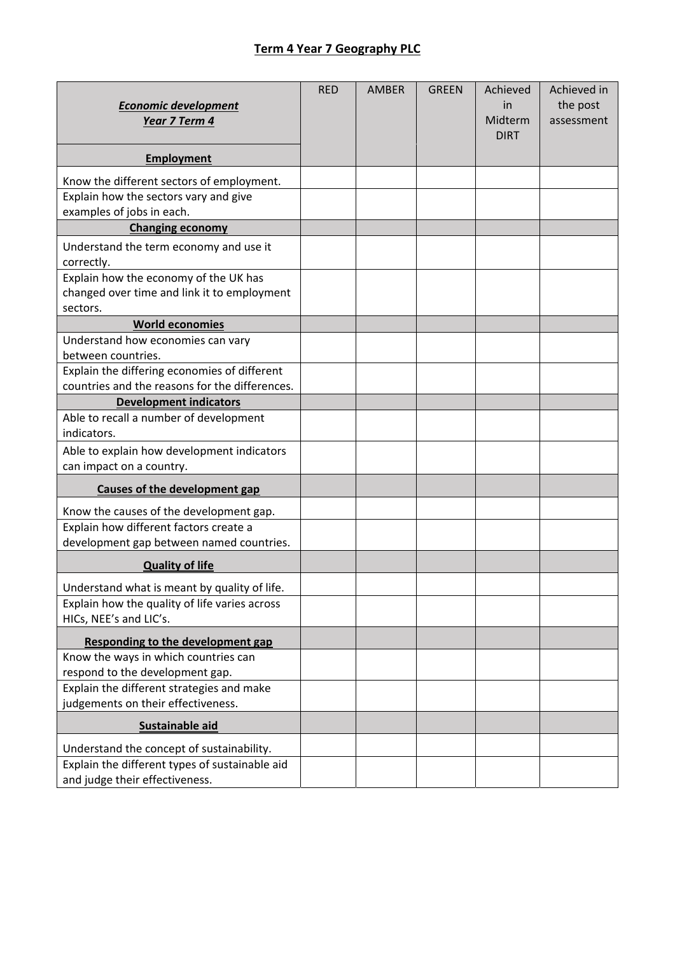## **Term 4 Year 7 Geography PLC**

| <b>Economic development</b><br>Year 7 Term 4                                                   | <b>RED</b> | <b>AMBER</b> | <b>GREEN</b> | Achieved<br>in<br>Midterm | Achieved in<br>the post<br>assessment |
|------------------------------------------------------------------------------------------------|------------|--------------|--------------|---------------------------|---------------------------------------|
|                                                                                                |            |              |              | <b>DIRT</b>               |                                       |
| <b>Employment</b>                                                                              |            |              |              |                           |                                       |
| Know the different sectors of employment.                                                      |            |              |              |                           |                                       |
| Explain how the sectors vary and give                                                          |            |              |              |                           |                                       |
| examples of jobs in each.                                                                      |            |              |              |                           |                                       |
| <b>Changing economy</b>                                                                        |            |              |              |                           |                                       |
| Understand the term economy and use it                                                         |            |              |              |                           |                                       |
| correctly.                                                                                     |            |              |              |                           |                                       |
| Explain how the economy of the UK has                                                          |            |              |              |                           |                                       |
| changed over time and link it to employment                                                    |            |              |              |                           |                                       |
| sectors.                                                                                       |            |              |              |                           |                                       |
| <b>World economies</b>                                                                         |            |              |              |                           |                                       |
| Understand how economies can vary                                                              |            |              |              |                           |                                       |
| between countries.                                                                             |            |              |              |                           |                                       |
| Explain the differing economies of different<br>countries and the reasons for the differences. |            |              |              |                           |                                       |
| <b>Development indicators</b>                                                                  |            |              |              |                           |                                       |
| Able to recall a number of development                                                         |            |              |              |                           |                                       |
| indicators.                                                                                    |            |              |              |                           |                                       |
| Able to explain how development indicators                                                     |            |              |              |                           |                                       |
| can impact on a country.                                                                       |            |              |              |                           |                                       |
| Causes of the development gap                                                                  |            |              |              |                           |                                       |
| Know the causes of the development gap.                                                        |            |              |              |                           |                                       |
| Explain how different factors create a                                                         |            |              |              |                           |                                       |
| development gap between named countries.                                                       |            |              |              |                           |                                       |
| <b>Quality of life</b>                                                                         |            |              |              |                           |                                       |
| Understand what is meant by quality of life                                                    |            |              |              |                           |                                       |
| Explain how the quality of life varies across                                                  |            |              |              |                           |                                       |
| HICs, NEE's and LIC's.                                                                         |            |              |              |                           |                                       |
| <b>Responding to the development gap</b>                                                       |            |              |              |                           |                                       |
| Know the ways in which countries can                                                           |            |              |              |                           |                                       |
| respond to the development gap.                                                                |            |              |              |                           |                                       |
| Explain the different strategies and make                                                      |            |              |              |                           |                                       |
| judgements on their effectiveness.                                                             |            |              |              |                           |                                       |
| Sustainable aid                                                                                |            |              |              |                           |                                       |
| Understand the concept of sustainability.                                                      |            |              |              |                           |                                       |
| Explain the different types of sustainable aid                                                 |            |              |              |                           |                                       |
| and judge their effectiveness.                                                                 |            |              |              |                           |                                       |